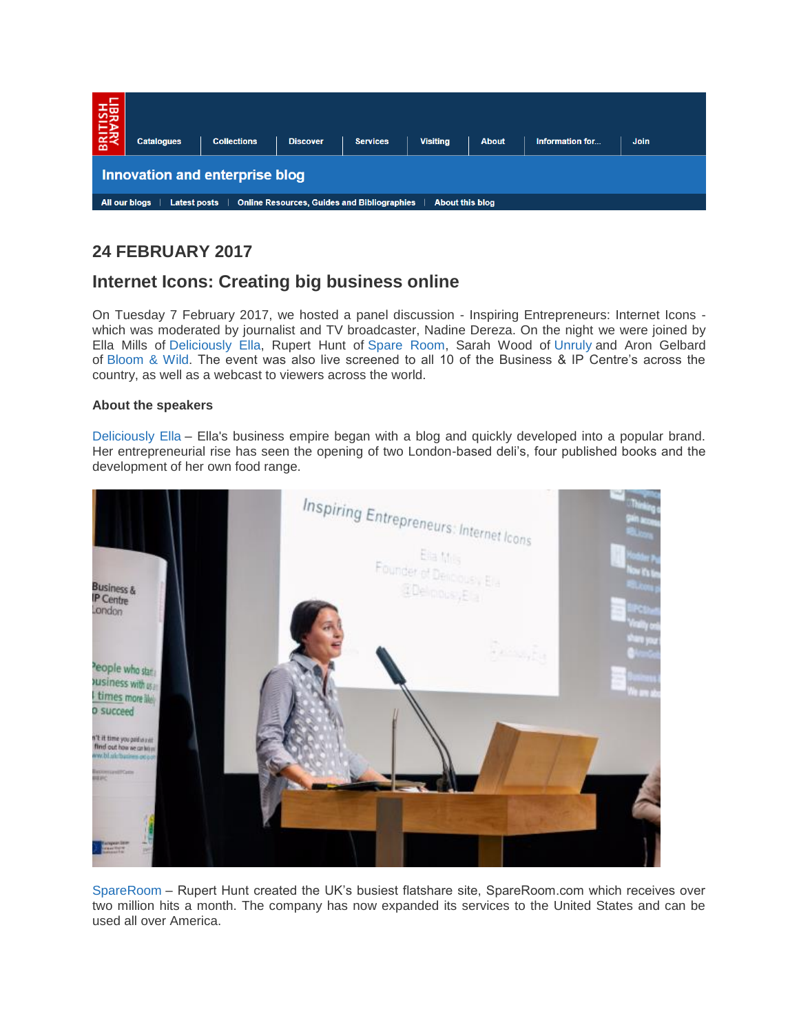| BRITISH<br>Advaalt                                                                                            | <b>Catalogues</b> | <b>Collections</b> | <b>Discover</b> | <b>Services</b> | <b>Visiting</b> | <b>About</b> | Information for | <b>Join</b> |
|---------------------------------------------------------------------------------------------------------------|-------------------|--------------------|-----------------|-----------------|-----------------|--------------|-----------------|-------------|
| Innovation and enterprise blog                                                                                |                   |                    |                 |                 |                 |              |                 |             |
| All our blogs<br><b>Online Resources, Guides and Bibliographies</b><br><b>Latest posts</b><br>About this blog |                   |                    |                 |                 |                 |              |                 |             |

# **24 FEBRUARY 2017**

# **Internet Icons: Creating big business online**

On Tuesday 7 February 2017, we hosted a panel discussion - Inspiring Entrepreneurs: Internet Icons which was moderated by journalist and TV broadcaster, Nadine Dereza. On the night we were joined by Ella Mills of [Deliciously Ella,](https://deliciouslyella.com/) Rupert Hunt of [Spare Room,](https://www.spareroom.co.uk/) Sarah Wood of [Unruly](https://unruly.co/) and Aron Gelbard of [Bloom & Wild.](https://www.bloomandwild.com/) The event was also live screened to all 10 of the Business & IP Centre's across the country, as well as a webcast to viewers across the world.

# **About the speakers**

[Deliciously Ella](https://deliciouslyella.com/) – Ella's business empire began with a blog and quickly developed into a popular brand. Her entrepreneurial rise has seen the opening of two London-based deli's, four published books and the development of her own food range.



[SpareRoom](https://www.spareroom.co.uk/) – Rupert Hunt created the UK's busiest flatshare site, SpareRoom.com which receives over two million hits a month. The company has now expanded its services to the United States and can be used all over America.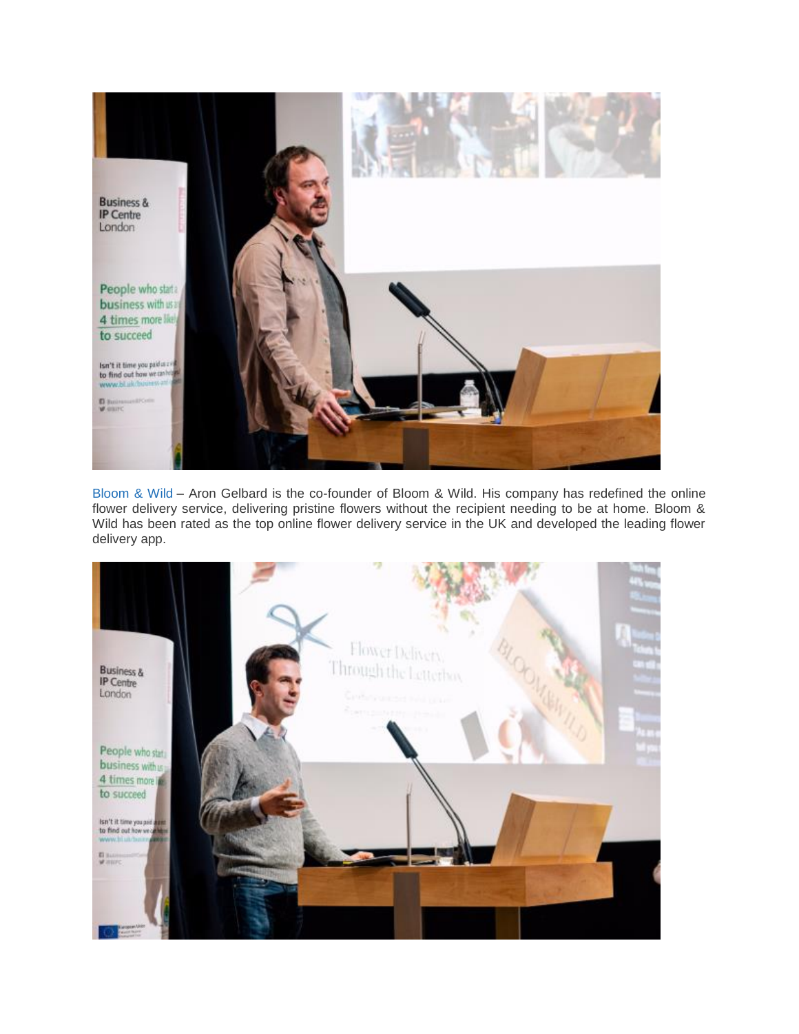

[Bloom & Wild](https://www.bloomandwild.com/) – Aron Gelbard is the co-founder of Bloom & Wild. His company has redefined the online flower delivery service, delivering pristine flowers without the recipient needing to be at home. Bloom & Wild has been rated as the top online flower delivery service in the UK and developed the leading flower delivery app.

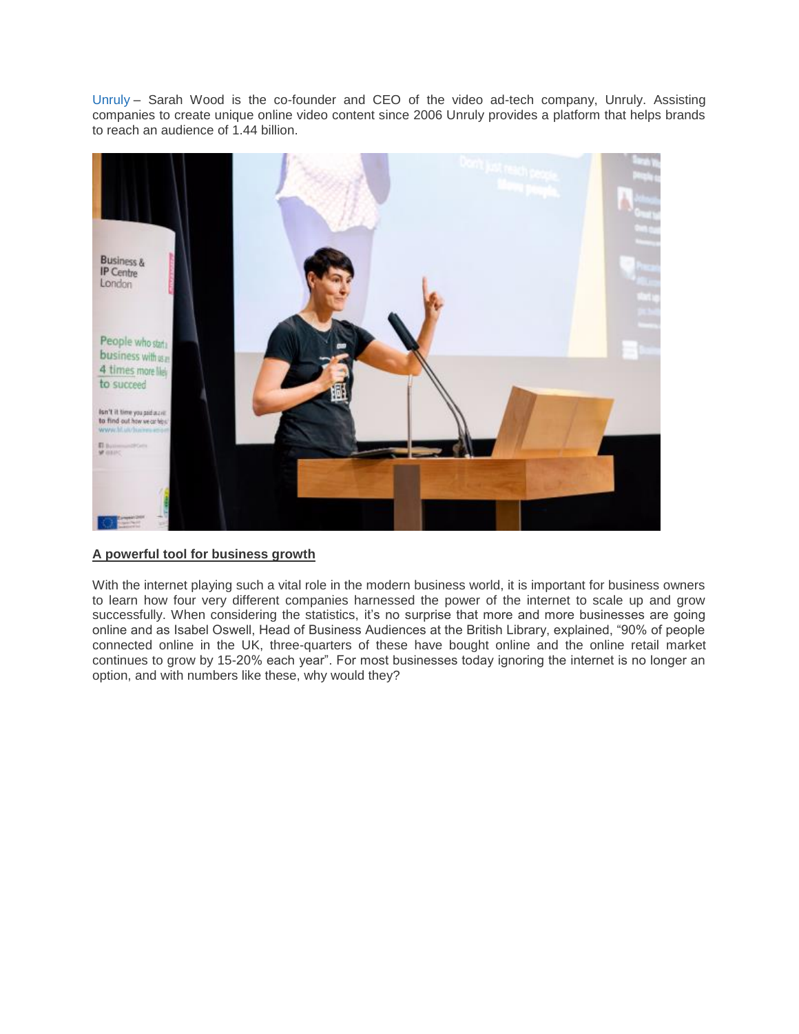[Unruly](https://unruly.co/) – Sarah Wood is the co-founder and CEO of the video ad-tech company, Unruly. Assisting companies to create unique online video content since 2006 Unruly provides a platform that helps brands to reach an audience of 1.44 billion.



## **A powerful tool for business growth**

With the internet playing such a vital role in the modern business world, it is important for business owners to learn how four very different companies harnessed the power of the internet to scale up and grow successfully. When considering the statistics, it's no surprise that more and more businesses are going online and as Isabel Oswell, Head of Business Audiences at the British Library, explained, "90% of people connected online in the UK, three-quarters of these have bought online and the online retail market continues to grow by 15-20% each year". For most businesses today ignoring the internet is no longer an option, and with numbers like these, why would they?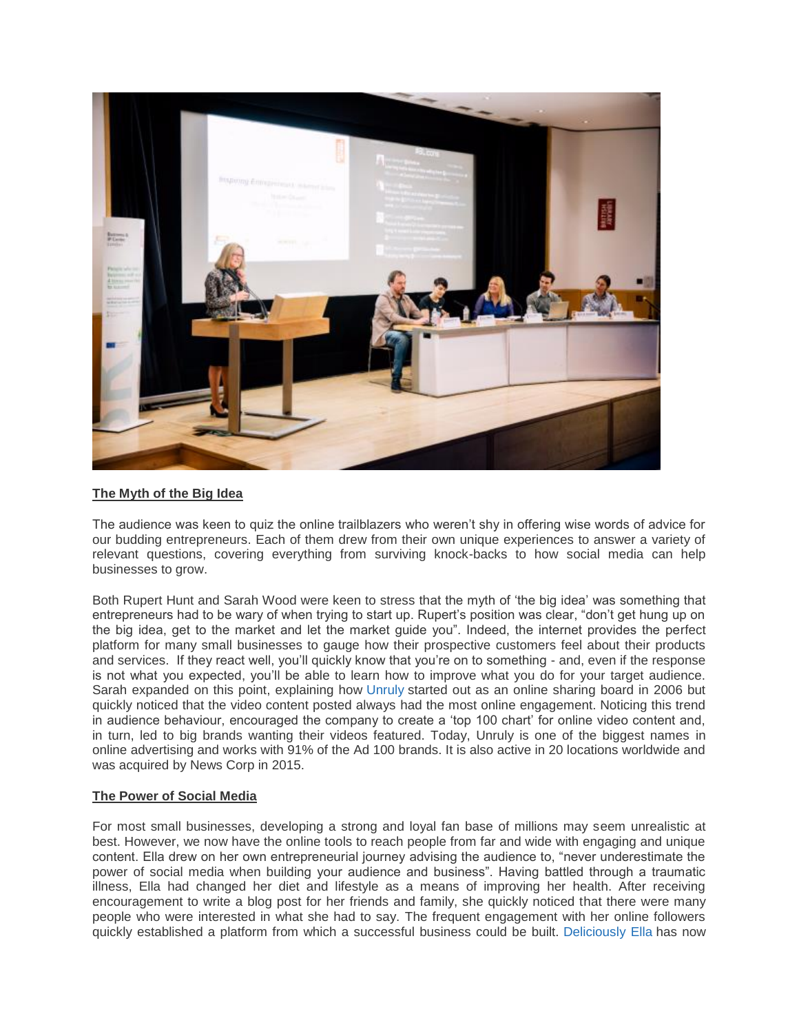

# **The Myth of the Big Idea**

The audience was keen to quiz the online trailblazers who weren't shy in offering wise words of advice for our budding entrepreneurs. Each of them drew from their own unique experiences to answer a variety of relevant questions, covering everything from surviving knock-backs to how social media can help businesses to grow.

Both Rupert Hunt and Sarah Wood were keen to stress that the myth of 'the big idea' was something that entrepreneurs had to be wary of when trying to start up. Rupert's position was clear, "don't get hung up on the big idea, get to the market and let the market guide you". Indeed, the internet provides the perfect platform for many small businesses to gauge how their prospective customers feel about their products and services. If they react well, you'll quickly know that you're on to something - and, even if the response is not what you expected, you'll be able to learn how to improve what you do for your target audience. Sarah expanded on this point, explaining how [Unruly](https://unruly.co/) started out as an online sharing board in 2006 but quickly noticed that the video content posted always had the most online engagement. Noticing this trend in audience behaviour, encouraged the company to create a 'top 100 chart' for online video content and, in turn, led to big brands wanting their videos featured. Today, Unruly is one of the biggest names in online advertising and works with 91% of the Ad 100 brands. It is also active in 20 locations worldwide and was acquired by News Corp in 2015.

## **The Power of Social Media**

For most small businesses, developing a strong and loyal fan base of millions may seem unrealistic at best. However, we now have the online tools to reach people from far and wide with engaging and unique content. Ella drew on her own entrepreneurial journey advising the audience to, "never underestimate the power of social media when building your audience and business". Having battled through a traumatic illness, Ella had changed her diet and lifestyle as a means of improving her health. After receiving encouragement to write a blog post for her friends and family, she quickly noticed that there were many people who were interested in what she had to say. The frequent engagement with her online followers quickly established a platform from which a successful business could be built. [Deliciously Ella](https://deliciouslyella.com/) has now